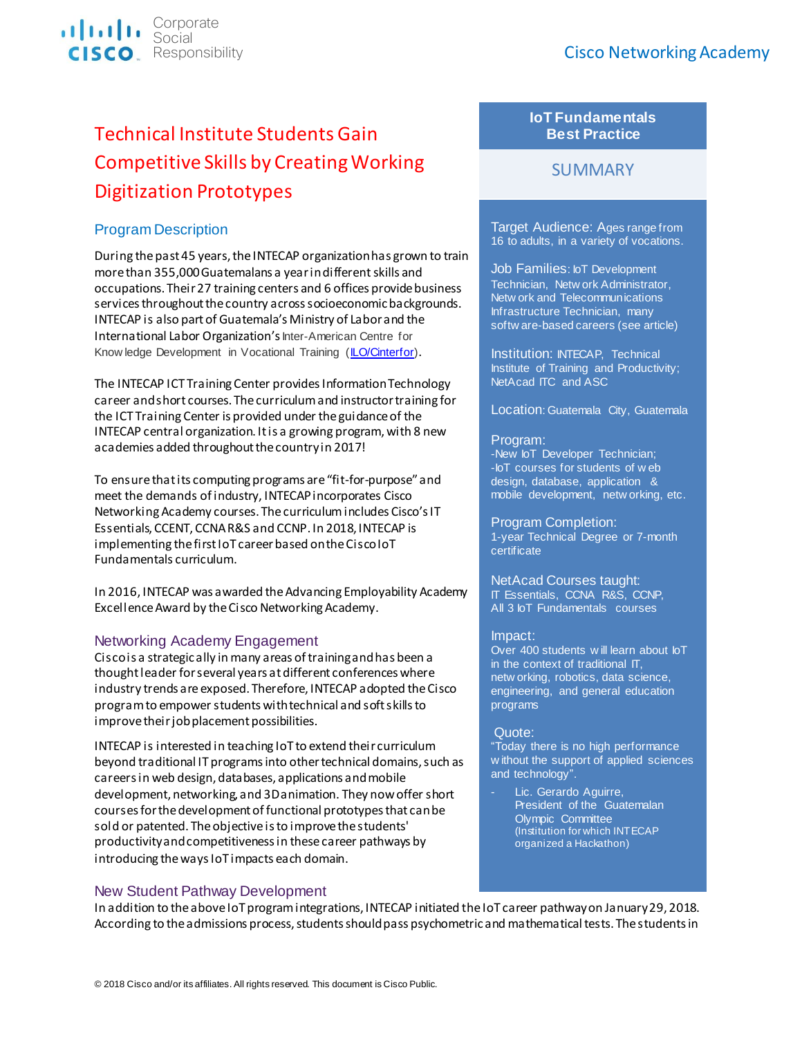

# Technical Institute Students Gain Competitive Skills by Creating Working Digitization Prototypes

## Program Description

During the past 45 years, the INTECAP organization has grown to train more than 355,000 Guatemalans a year in different skills and occupations. Their 27 training centers and 6 offices provide business services throughout the country across socioeconomic backgrounds. INTECAP is also part of Guatemala's Ministry of Labor and the International Labor Organization's Inter-American Centre for Know ledge Development in Vocational Training [\(ILO/Cinterfor\)](https://www.oitcinterfor.org/en/general/about-ilocinterfor).

The INTECAP ICT Training Center provides Information Technology career and short courses. The curriculum and instructor training for the ICT Training Center is provided under the guidance of the INTECAP central organization. It is a growing program, with 8 new academies added throughout the country in 2017!

To ensure that its computing programs are "fit-for-purpose" and meet the demands of industry, INTECAPincorporates Cisco Networking Academy courses. The curriculumincludes Cisco's IT Essentials, CCENT, CCNA R&S and CCNP. In 2018, INTECAP is implementing the first IoT career based on the CiscoIoT Fundamentals curriculum.

In 2016, INTECAP was awarded the Advancing Employability Academy Excellence Award by the Cisco Networking Academy.

## Networking Academy Engagement

Cisco is a strategic ally in many areas of training and has been a thought leader for several years at different conferences where industry trends are exposed. Therefore, INTECAP adopted the Cisco program to empower students with technical and soft skills to improve their job placement possibilities.

INTECAP is interested in teaching IoT to extend their curriculum beyond traditional IT programs into other technical domains, such as careers in web design, databases, applications and mobile development, networking, and 3D animation. They now offer short courses for the development of functional prototypes that can be sold or patented. The objective is to improve the students' productivity and competitiveness in these career pathways by introducing the ways IoT impacts each domain.

## New Student Pathway Development

## **IoT Fundamentals Best Practice**

## **SUMMARY**

Target Audience: Ages range from 16 to adults, in a variety of vocations.

Job Families: IoT Development Technician, Netw ork Administrator, Netw ork and Telecommunications Infrastructure Technician, many softw are-based careers (see article)

Institution: INTECAP, Technical Institute of Training and Productivity; NetAcad ITC and ASC

### Location: Guatemala City, Guatemala

### Program:

-New IoT Developer Technician; -IoT courses for students of w eb design, database, application & mobile development, netw orking, etc.

Program Completion: 1-year Technical Degree or 7-month certificate

#### NetAcad Courses taught: IT Essentials, CCNA R&S, CCNP, All 3 IoT Fundamentals courses

### Impact:

Over 400 students w ill learn about IoT in the context of traditional IT, netw orking, robotics, data science, engineering, and general education programs

### Quote:

"Today there is no high performance w ithout the support of applied sciences and technology".

Lic. Gerardo Aguirre, President of the Guatemalan Olympic Committee (Institution for which INTECAP organized a Hackathon)

In addition to the above IoT program integrations, INTECAP initiated the IoT career pathway on January 29, 2018. According to the admissions process, students should pass psychometric and mathematical tests. The students in